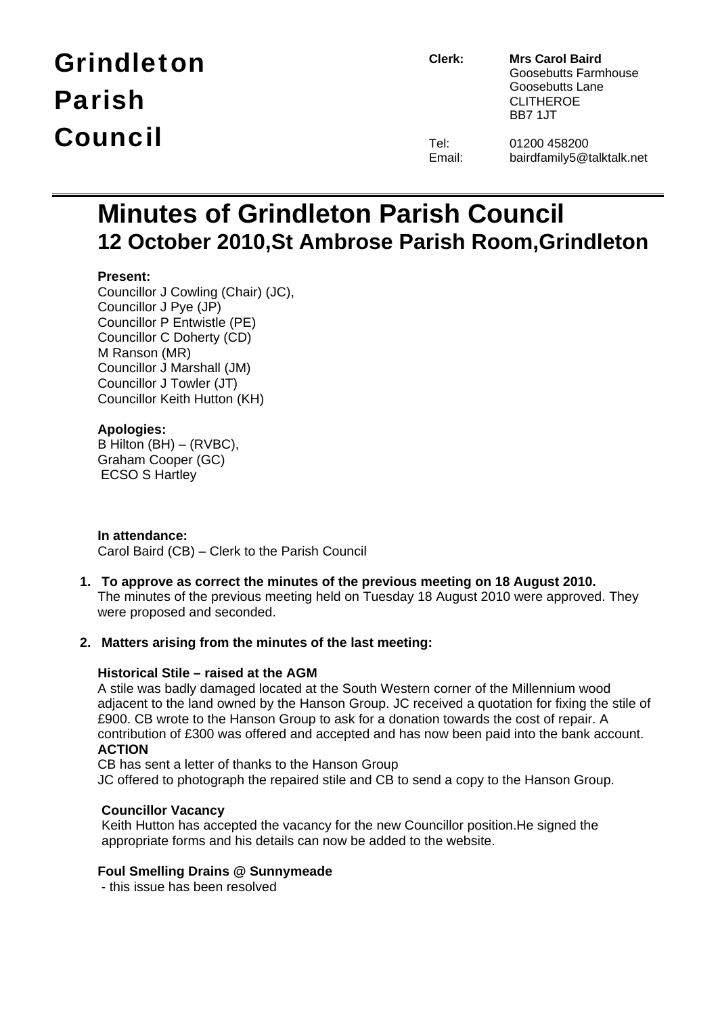# Grindleton Parish Council

**Clerk: Mrs Carol Baird** Goosebutts Farmhouse Goosebutts Lane CLITHEROE BB7 1JT

| el:   | 0 |
|-------|---|
| mail: | b |

Tel: 01200 458200<br>Email: bairdfamily5@1 airdfamily5@talktalk.net

### **Minutes of Grindleton Parish Council 12 October 2010,St Ambrose Parish Room,Grindleton**

#### **Present:**

Councillor J Cowling (Chair) (JC), Councillor J Pye (JP) Councillor P Entwistle (PE) Councillor C Doherty (CD) M Ranson (MR) Councillor J Marshall (JM) Councillor J Towler (JT) Councillor Keith Hutton (KH)

#### **Apologies:**

B Hilton (BH) – (RVBC), Graham Cooper (GC) ECSO S Hartley

**In attendance:**  Carol Baird (CB) – Clerk to the Parish Council

**1. To approve as correct the minutes of the previous meeting on 18 August 2010.**  The minutes of the previous meeting held on Tuesday 18 August 2010 were approved. They were proposed and seconded.

#### **2. Matters arising from the minutes of the last meeting:**

#### **Historical Stile – raised at the AGM**

A stile was badly damaged located at the South Western corner of the Millennium wood adjacent to the land owned by the Hanson Group. JC received a quotation for fixing the stile of £900. CB wrote to the Hanson Group to ask for a donation towards the cost of repair. A contribution of £300 was offered and accepted and has now been paid into the bank account. **ACTION** 

CB has sent a letter of thanks to the Hanson Group

JC offered to photograph the repaired stile and CB to send a copy to the Hanson Group.

#### **Councillor Vacancy**

Keith Hutton has accepted the vacancy for the new Councillor position.He signed the appropriate forms and his details can now be added to the website.

#### **Foul Smelling Drains @ Sunnymeade**

- this issue has been resolved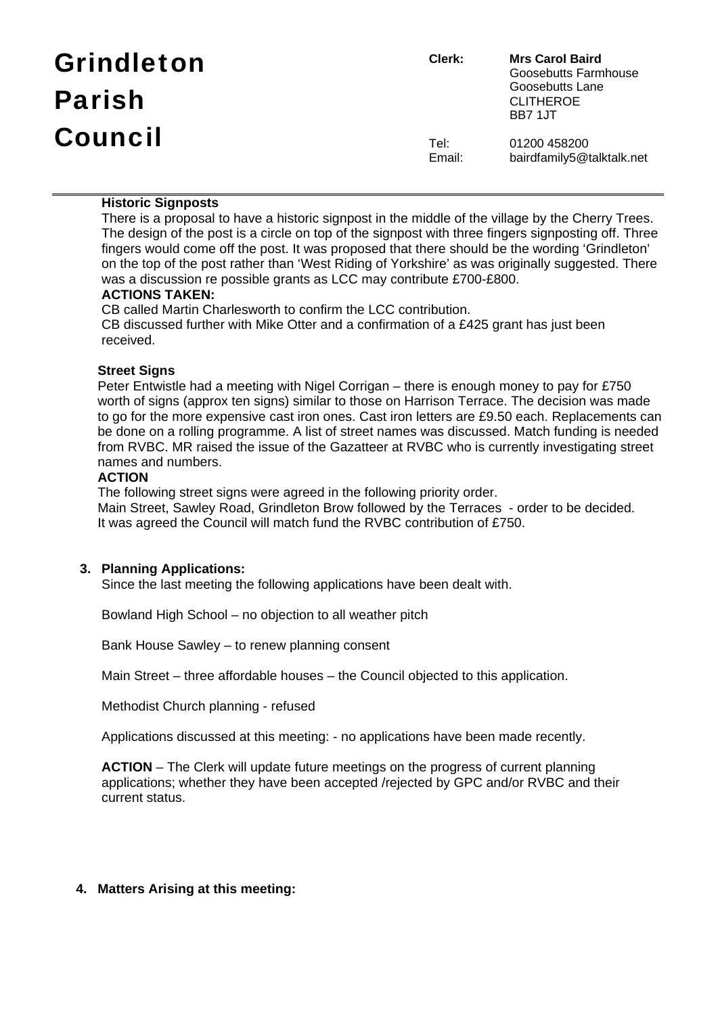| <b>Grindleton</b> | Clerk:         | <b>Mrs Carol Baird</b><br>Goosebutts Farmhouse         |
|-------------------|----------------|--------------------------------------------------------|
| <b>Parish</b>     |                | Goosebutts Lane<br><b>CLITHEROE</b><br><b>BB7 1.JT</b> |
| <b>Council</b>    | Tel:<br>Email: | 01200 458200<br>bairdfamily5@talktalk.net              |

#### **Historic Signposts**

There is a proposal to have a historic signpost in the middle of the village by the Cherry Trees. The design of the post is a circle on top of the signpost with three fingers signposting off. Three fingers would come off the post. It was proposed that there should be the wording 'Grindleton' on the top of the post rather than 'West Riding of Yorkshire' as was originally suggested. There was a discussion re possible grants as LCC may contribute £700-£800.

#### **ACTIONS TAKEN:**

CB called Martin Charlesworth to confirm the LCC contribution. CB discussed further with Mike Otter and a confirmation of a £425 grant has just been received.

#### **Street Signs**

Peter Entwistle had a meeting with Nigel Corrigan – there is enough money to pay for £750 worth of signs (approx ten signs) similar to those on Harrison Terrace. The decision was made to go for the more expensive cast iron ones. Cast iron letters are £9.50 each. Replacements can be done on a rolling programme. A list of street names was discussed. Match funding is needed from RVBC. MR raised the issue of the Gazatteer at RVBC who is currently investigating street names and numbers.

#### **ACTION**

The following street signs were agreed in the following priority order.

Main Street, Sawley Road, Grindleton Brow followed by the Terraces - order to be decided. It was agreed the Council will match fund the RVBC contribution of £750.

#### **3. Planning Applications:**

Since the last meeting the following applications have been dealt with.

Bowland High School – no objection to all weather pitch

Bank House Sawley – to renew planning consent

Main Street – three affordable houses – the Council objected to this application.

Methodist Church planning - refused

Applications discussed at this meeting: - no applications have been made recently.

**ACTION** – The Clerk will update future meetings on the progress of current planning applications; whether they have been accepted /rejected by GPC and/or RVBC and their current status.

#### **4. Matters Arising at this meeting:**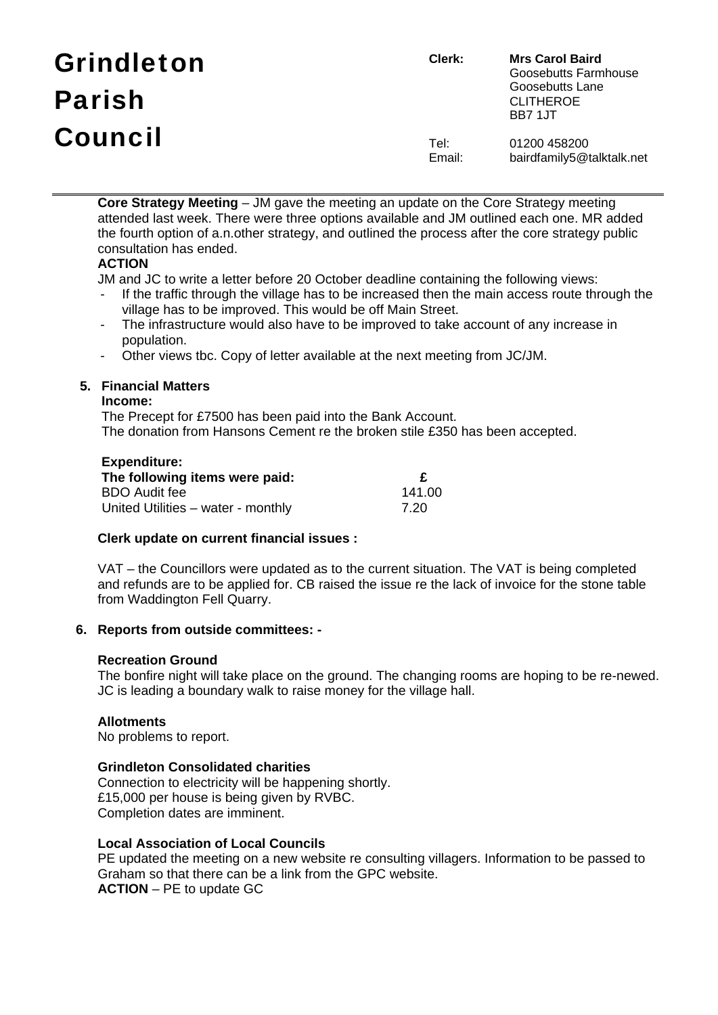# Grindleton Parish Council

**Clerk: Mrs Carol Baird** Goosebutts Farmhouse Goosebutts Lane CLITHEROE BB7 1JT

Tel: 01200 458200 Email: bairdfamily5@talktalk.net

**Core Strategy Meeting** – JM gave the meeting an update on the Core Strategy meeting attended last week. There were three options available and JM outlined each one. MR added the fourth option of a.n.other strategy, and outlined the process after the core strategy public consultation has ended.

#### **ACTION**

JM and JC to write a letter before 20 October deadline containing the following views:

- If the traffic through the village has to be increased then the main access route through the village has to be improved. This would be off Main Street.
- The infrastructure would also have to be improved to take account of any increase in population.
- Other views tbc. Copy of letter available at the next meeting from JC/JM.

#### **5. Financial Matters**

#### **Income:**

The Precept for £7500 has been paid into the Bank Account. The donation from Hansons Cement re the broken stile £350 has been accepted.

#### **Expenditure:**

| __________<br>The following items were paid: |        |
|----------------------------------------------|--------|
| <b>BDO Audit fee</b>                         | 141.00 |
| United Utilities – water - monthly           | 7.20   |

#### **Clerk update on current financial issues :**

VAT – the Councillors were updated as to the current situation. The VAT is being completed and refunds are to be applied for. CB raised the issue re the lack of invoice for the stone table from Waddington Fell Quarry.

#### **6. Reports from outside committees: -**

#### **Recreation Ground**

The bonfire night will take place on the ground. The changing rooms are hoping to be re-newed. JC is leading a boundary walk to raise money for the village hall.

#### **Allotments**

No problems to report.

#### **Grindleton Consolidated charities**

Connection to electricity will be happening shortly. £15,000 per house is being given by RVBC. Completion dates are imminent.

#### **Local Association of Local Councils**

PE updated the meeting on a new website re consulting villagers. Information to be passed to Graham so that there can be a link from the GPC website. **ACTION** – PE to update GC